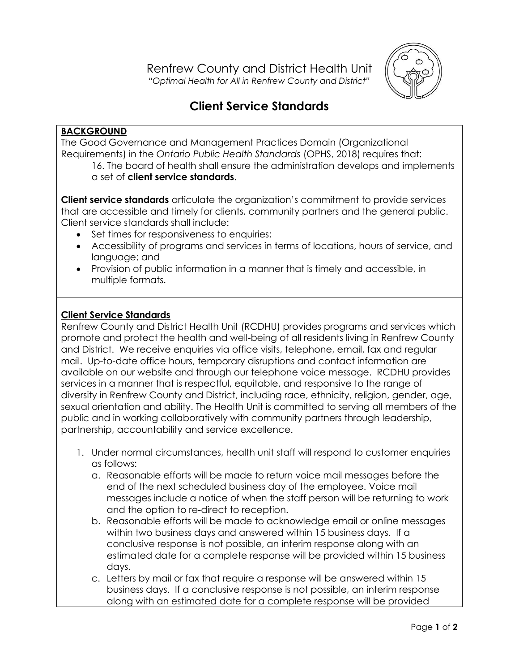

## **Client Service Standards**

## **BACKGROUND**

The Good Governance and Management Practices Domain (Organizational Requirements) in the *Ontario Public Health Standards* (OPHS, 2018) requires that: 16. The board of health shall ensure the administration develops and implements a set of **client service standards**.

**Client service standards** articulate the organization's commitment to provide services that are accessible and timely for clients, community partners and the general public. Client service standards shall include:

- Set times for responsiveness to enquiries;
- Accessibility of programs and services in terms of locations, hours of service, and language; and
- Provision of public information in a manner that is timely and accessible, in multiple formats.

## **Client Service Standards**

Renfrew County and District Health Unit (RCDHU) provides programs and services which promote and protect the health and well-being of all residents living in Renfrew County and District. We receive enquiries via office visits, telephone, email, fax and regular mail. Up-to-date office hours, temporary disruptions and contact information are available on our website and through our telephone voice message. RCDHU provides services in a manner that is respectful, equitable, and responsive to the range of diversity in Renfrew County and District, including race, ethnicity, religion, gender, age, sexual orientation and ability. The Health Unit is committed to serving all members of the public and in working collaboratively with community partners through leadership, partnership, accountability and service excellence.

- 1. Under normal circumstances, health unit staff will respond to customer enquiries as follows:
	- a. Reasonable efforts will be made to return voice mail messages before the end of the next scheduled business day of the employee. Voice mail messages include a notice of when the staff person will be returning to work and the option to re-direct to reception.
	- b. Reasonable efforts will be made to acknowledge email or online messages within two business days and answered within 15 business days. If a conclusive response is not possible, an interim response along with an estimated date for a complete response will be provided within 15 business days.
	- c. Letters by mail or fax that require a response will be answered within 15 business days. If a conclusive response is not possible, an interim response along with an estimated date for a complete response will be provided